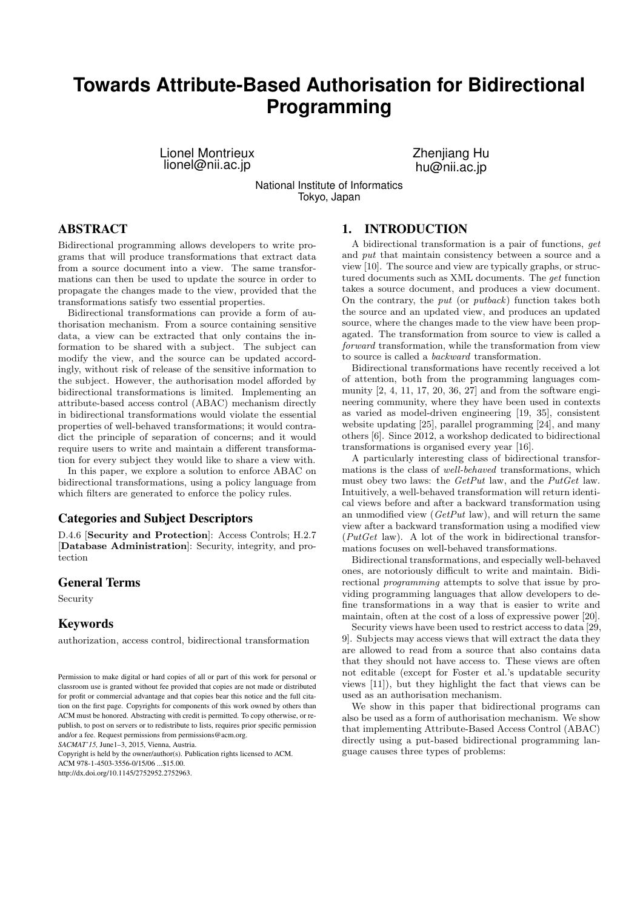# **Towards Attribute-Based Authorisation for Bidirectional Programming**

Lionel Montrieux lionel@nii.ac.jp

Zhenjiang Hu hu@nii.ac.jp

National Institute of Informatics Tokyo, Japan

## ABSTRACT

Bidirectional programming allows developers to write programs that will produce transformations that extract data from a source document into a view. The same transformations can then be used to update the source in order to propagate the changes made to the view, provided that the transformations satisfy two essential properties.

Bidirectional transformations can provide a form of authorisation mechanism. From a source containing sensitive data, a view can be extracted that only contains the information to be shared with a subject. The subject can modify the view, and the source can be updated accordingly, without risk of release of the sensitive information to the subject. However, the authorisation model afforded by bidirectional transformations is limited. Implementing an attribute-based access control (ABAC) mechanism directly in bidirectional transformations would violate the essential properties of well-behaved transformations; it would contradict the principle of separation of concerns; and it would require users to write and maintain a different transformation for every subject they would like to share a view with.

In this paper, we explore a solution to enforce ABAC on bidirectional transformations, using a policy language from which filters are generated to enforce the policy rules.

### Categories and Subject Descriptors

D.4.6 [Security and Protection]: Access Controls; H.2.7 [Database Administration]: Security, integrity, and protection

# General Terms

Security

#### Keywords

authorization, access control, bidirectional transformation

*SACMAT'15,* June1–3, 2015, Vienna, Austria.

Copyright is held by the owner/author(s). Publication rights licensed to ACM.

ACM 978-1-4503-3556-0/15/06 \$15.00

http://dx.doi.org/10.1145/2752952.2752963.

### 1. INTRODUCTION

A bidirectional transformation is a pair of functions, get and put that maintain consistency between a source and a view [10]. The source and view are typically graphs, or structured documents such as XML documents. The get function takes a source document, and produces a view document. On the contrary, the put (or putback) function takes both the source and an updated view, and produces an updated source, where the changes made to the view have been propagated. The transformation from source to view is called a forward transformation, while the transformation from view to source is called a backward transformation.

Bidirectional transformations have recently received a lot of attention, both from the programming languages community [2, 4, 11, 17, 20, 36, 27] and from the software engineering community, where they have been used in contexts as varied as model-driven engineering [19, 35], consistent website updating [25], parallel programming [24], and many others [6]. Since 2012, a workshop dedicated to bidirectional transformations is organised every year [16].

A particularly interesting class of bidirectional transformations is the class of well-behaved transformations, which must obey two laws: the GetPut law, and the PutGet law. Intuitively, a well-behaved transformation will return identical views before and after a backward transformation using an unmodified view  $(GetPut \, law)$ , and will return the same view after a backward transformation using a modified view  $(PutGet \t{law})$ . A lot of the work in bidirectional transformations focuses on well-behaved transformations.

Bidirectional transformations, and especially well-behaved ones, are notoriously difficult to write and maintain. Bidirectional programming attempts to solve that issue by providing programming languages that allow developers to define transformations in a way that is easier to write and maintain, often at the cost of a loss of expressive power [20].

Security views have been used to restrict access to data [29, 9]. Subjects may access views that will extract the data they are allowed to read from a source that also contains data that they should not have access to. These views are often not editable (except for Foster et al.'s updatable security views [11]), but they highlight the fact that views can be used as an authorisation mechanism.

We show in this paper that bidirectional programs can also be used as a form of authorisation mechanism. We show that implementing Attribute-Based Access Control (ABAC) directly using a put-based bidirectional programming language causes three types of problems:

Permission to make digital or hard copies of all or part of this work for personal or classroom use is granted without fee provided that copies are not made or distributed for profit or commercial advantage and that copies bear this notice and the full citation on the first page. Copyrights for components of this work owned by others than ACM must be honored. Abstracting with credit is permitted. To copy otherwise, or republish, to post on servers or to redistribute to lists, requires prior specific permission and/or a fee. Request permissions from permissions@acm.org.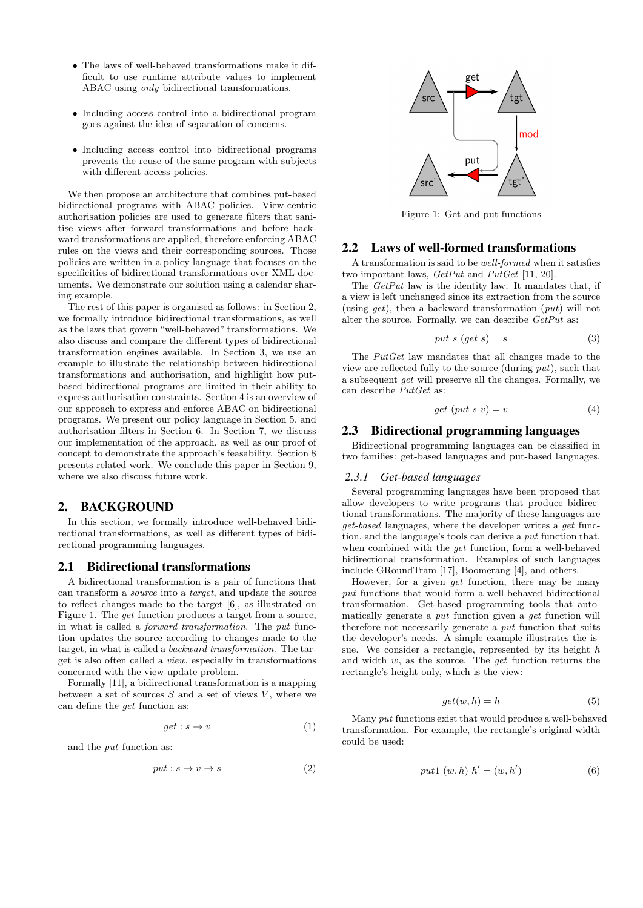- The laws of well-behaved transformations make it difficult to use runtime attribute values to implement ABAC using only bidirectional transformations.
- Including access control into a bidirectional program goes against the idea of separation of concerns.
- Including access control into bidirectional programs prevents the reuse of the same program with subjects with different access policies.

We then propose an architecture that combines put-based bidirectional programs with ABAC policies. View-centric authorisation policies are used to generate filters that sanitise views after forward transformations and before backward transformations are applied, therefore enforcing ABAC rules on the views and their corresponding sources. Those policies are written in a policy language that focuses on the specificities of bidirectional transformations over XML documents. We demonstrate our solution using a calendar sharing example.

The rest of this paper is organised as follows: in Section 2, we formally introduce bidirectional transformations, as well as the laws that govern "well-behaved" transformations. We also discuss and compare the different types of bidirectional transformation engines available. In Section 3, we use an example to illustrate the relationship between bidirectional transformations and authorisation, and highlight how putbased bidirectional programs are limited in their ability to express authorisation constraints. Section 4 is an overview of our approach to express and enforce ABAC on bidirectional programs. We present our policy language in Section 5, and authorisation filters in Section 6. In Section 7, we discuss our implementation of the approach, as well as our proof of concept to demonstrate the approach's feasability. Section 8 presents related work. We conclude this paper in Section 9, where we also discuss future work.

### 2. BACKGROUND

In this section, we formally introduce well-behaved bidirectional transformations, as well as different types of bidirectional programming languages.

#### 2.1 Bidirectional transformations

A bidirectional transformation is a pair of functions that can transform a source into a target, and update the source to reflect changes made to the target [6], as illustrated on Figure 1. The get function produces a target from a source, in what is called a forward transformation. The put function updates the source according to changes made to the target, in what is called a backward transformation. The target is also often called a view, especially in transformations concerned with the view-update problem.

Formally [11], a bidirectional transformation is a mapping between a set of sources  $S$  and a set of views  $V$ , where we can define the get function as:

$$
get: s \to v \tag{1}
$$

and the put function as:

$$
put: s \to v \to s \tag{2}
$$



Figure 1: Get and put functions

#### 2.2 Laws of well-formed transformations

A transformation is said to be well-formed when it satisfies two important laws, GetPut and PutGet [11, 20].

The GetPut law is the identity law. It mandates that, if a view is left unchanged since its extraction from the source (using  $get$ ), then a backward transformation  $(put)$  will not alter the source. Formally, we can describe  $GetPut$  as:

$$
put \; s \; (get \; s) = s \tag{3}
$$

The PutGet law mandates that all changes made to the view are reflected fully to the source (during put), such that a subsequent get will preserve all the changes. Formally, we can describe PutGet as:

$$
get (put s v) = v \tag{4}
$$

#### 2.3 Bidirectional programming languages

Bidirectional programming languages can be classified in two families: get-based languages and put-based languages.

#### *2.3.1 Get-based languages*

Several programming languages have been proposed that allow developers to write programs that produce bidirectional transformations. The majority of these languages are get-based languages, where the developer writes a get function, and the language's tools can derive a put function that, when combined with the get function, form a well-behaved bidirectional transformation. Examples of such languages include GRoundTram [17], Boomerang [4], and others.

However, for a given get function, there may be many put functions that would form a well-behaved bidirectional transformation. Get-based programming tools that automatically generate a put function given a get function will therefore not necessarily generate a put function that suits the developer's needs. A simple example illustrates the issue. We consider a rectangle, represented by its height h and width  $w$ , as the source. The *get* function returns the rectangle's height only, which is the view:

$$
get(w, h) = h \tag{5}
$$

Many put functions exist that would produce a well-behaved transformation. For example, the rectangle's original width could be used:

$$
put1 (w, h) h' = (w, h')
$$
 (6)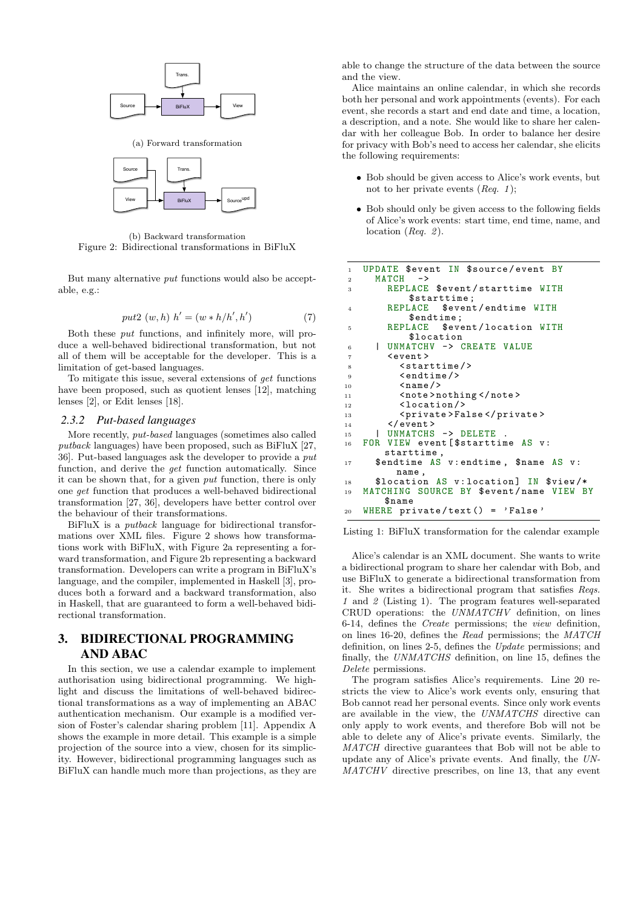

(a) Forward transformation



(b) Backward transformation Figure 2: Bidirectional transformations in BiFluX

But many alternative put functions would also be acceptable, e.g.:

$$
put2 (w, h) h' = (w * h/h', h')
$$
 (7)

Both these put functions, and infinitely more, will produce a well-behaved bidirectional transformation, but not all of them will be acceptable for the developer. This is a limitation of get-based languages.

To mitigate this issue, several extensions of get functions have been proposed, such as quotient lenses [12], matching lenses [2], or Edit lenses [18].

#### *2.3.2 Put-based languages*

More recently, put-based languages (sometimes also called putback languages) have been proposed, such as BiFluX [27, 36]. Put-based languages ask the developer to provide a put function, and derive the get function automatically. Since it can be shown that, for a given put function, there is only one get function that produces a well-behaved bidirectional transformation [27, 36], developers have better control over the behaviour of their transformations.

BiFluX is a putback language for bidirectional transformations over XML files. Figure 2 shows how transformations work with BiFluX, with Figure 2a representing a forward transformation, and Figure 2b representing a backward transformation. Developers can write a program in BiFluX's language, and the compiler, implemented in Haskell [3], produces both a forward and a backward transformation, also in Haskell, that are guaranteed to form a well-behaved bidirectional transformation.

# 3. BIDIRECTIONAL PROGRAMMING AND ABAC

In this section, we use a calendar example to implement authorisation using bidirectional programming. We highlight and discuss the limitations of well-behaved bidirectional transformations as a way of implementing an ABAC authentication mechanism. Our example is a modified version of Foster's calendar sharing problem [11]. Appendix A shows the example in more detail. This example is a simple projection of the source into a view, chosen for its simplicity. However, bidirectional programming languages such as BiFluX can handle much more than projections, as they are

able to change the structure of the data between the source and the view.

Alice maintains an online calendar, in which she records both her personal and work appointments (events). For each event, she records a start and end date and time, a location, a description, and a note. She would like to share her calendar with her colleague Bob. In order to balance her desire for privacy with Bob's need to access her calendar, she elicits the following requirements:

- Bob should be given access to Alice's work events, but not to her private events  $(Req. 1);$
- Bob should only be given access to the following fields of Alice's work events: start time, end time, name, and location ( $Req. 2$ ).

```
1 UPDATE $event IN $source / event BY
2 MATCH
3 REPLACE $event / starttime WITH
       $starttime;<br>REPLACE $even:
4 REPLACE $event / endtime WITH
       $endtime;<br>REPLACE $eve
5 REPLACE $event / location WITH
           $location
6 | UNMATCHV -> CREATE VALUE
7 < event >
8 < starttime / >
9 <endtime/>
10 \langle name \rangle11 <note>nothing </note><br>12 <location/>
         <sub>1ocation</sub></sub>
13 <private>False</private>
_{14} </event>
15 | UNMATCHS -> DELETE
16 FOR VIEW event [$starttime AS v:
       starttime ,
17 $endtime AS v: endtime, $name AS v:
     , name<br>$location
18 $location AS v: location] IN $view/*
19 MATCHING SOURCE BY $event/name VIEW BY
       $name
20 WHERE private/text() = 'False'
```
Listing 1: BiFluX transformation for the calendar example

Alice's calendar is an XML document. She wants to write a bidirectional program to share her calendar with Bob, and use BiFluX to generate a bidirectional transformation from it. She writes a bidirectional program that satisfies Reqs. 1 and 2 (Listing 1). The program features well-separated CRUD operations: the UNMATCHV definition, on lines 6-14, defines the Create permissions; the view definition, on lines 16-20, defines the Read permissions; the MATCH definition, on lines 2-5, defines the Update permissions; and finally, the UNMATCHS definition, on line 15, defines the Delete permissions.

The program satisfies Alice's requirements. Line 20 restricts the view to Alice's work events only, ensuring that Bob cannot read her personal events. Since only work events are available in the view, the UNMATCHS directive can only apply to work events, and therefore Bob will not be able to delete any of Alice's private events. Similarly, the MATCH directive guarantees that Bob will not be able to update any of Alice's private events. And finally, the UN-MATCHV directive prescribes, on line 13, that any event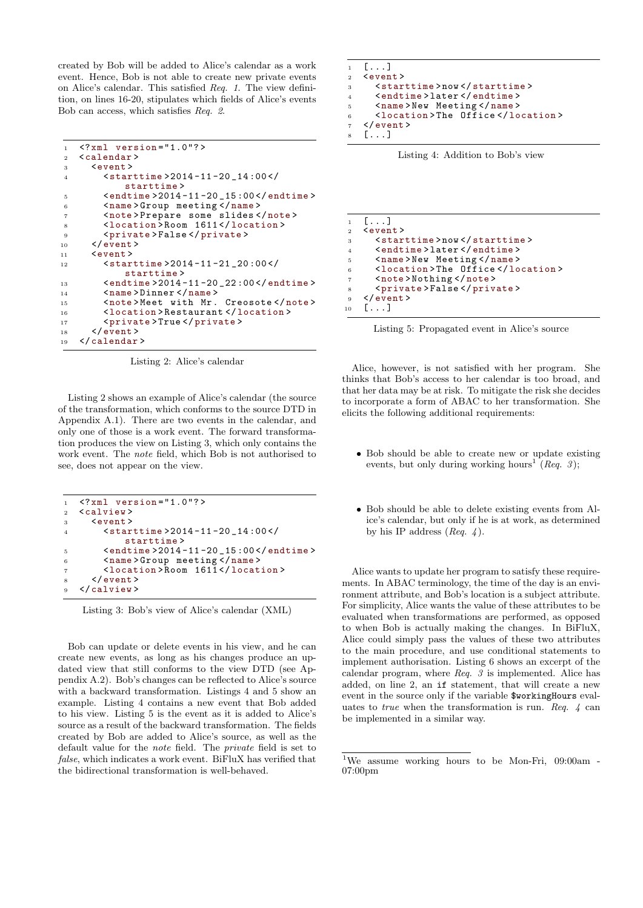created by Bob will be added to Alice's calendar as a work event. Hence, Bob is not able to create new private events on Alice's calendar. This satisfied Req. 1. The view definition, on lines 16-20, stipulates which fields of Alice's events Bob can access, which satisfies Req. 2.

```
1 <?xml version="1.0"?>
2 <calendar >
3 <event >
4 <starttime >2014 -11 -20 _14 :00 </
           starttime >
5 <endtime >2014 -11 -20 _15 :00 </ endtime >
6 <name>Group meeting </name>
7 <note > Prepare some slides </ note >
8 <location > Room 1611 </ location >
9 <private>False</private>
10 \qquad \checkmark event >
11 <event>
12 <starttime > 2014-11-21_20:00</
           starttime >
13 <endtime>2014-11-20_22:00</endtime>
14 <name>Dinner </name><br>15 <note>Meet with Mr.
       15 <note > Meet with Mr . Creosote </ note >
16 <location > Restaurant </ location >
17 <private>True </private>
18 </event>
19 </ calendar >
```
Listing 2: Alice's calendar

Listing 2 shows an example of Alice's calendar (the source of the transformation, which conforms to the source DTD in Appendix A.1). There are two events in the calendar, and only one of those is a work event. The forward transformation produces the view on Listing 3, which only contains the work event. The note field, which Bob is not authorised to see, does not appear on the view.

```
1 <? xml version = "1.0"?>
2 <calview >
3 \left(4 \times 2 \right)4 <starttime >2014 -11 -20 _14 :00 </
            starttime >
5 <endtime >2014 -11 -20 _15 :00 </ endtime >
6 <name>Group meeting </name>
        7 <location > Room 1611 </ location >
     \langle/event>
9 </ calview >
```
Listing 3: Bob's view of Alice's calendar (XML)

Bob can update or delete events in his view, and he can create new events, as long as his changes produce an updated view that still conforms to the view DTD (see Appendix A.2). Bob's changes can be reflected to Alice's source with a backward transformation. Listings 4 and 5 show an example. Listing 4 contains a new event that Bob added to his view. Listing 5 is the event as it is added to Alice's source as a result of the backward transformation. The fields created by Bob are added to Alice's source, as well as the default value for the note field. The private field is set to false, which indicates a work event. BiFluX has verified that the bidirectional transformation is well-behaved.

```
1 [...]
2 \left( < event >
3 <starttime > now </ starttime >
4 <endtime > later </ endtime >
5 <name>New Meeting </name>
6 <location > The Office </ location >
7 </event >
8 [...]
```


|                | $1 \quad [\ldots]$              |
|----------------|---------------------------------|
| $\overline{2}$ | $event$                         |
| $\,$ 3 $\,$    | <starttime>now</starttime>      |
| $\overline{4}$ | <endtime>later</endtime>        |
| 5              | <name>New Meeting</name>        |
| 6              | <location>The Office</location> |
| $\overline{7}$ | <note>Nothing</note>            |
| 8              | <private>False</private>        |
| $_{9}$         | $\langle$ /event>               |
| 10             | $[\ldots]$                      |

Listing 5: Propagated event in Alice's source

Alice, however, is not satisfied with her program. She thinks that Bob's access to her calendar is too broad, and that her data may be at risk. To mitigate the risk she decides to incorporate a form of ABAC to her transformation. She elicits the following additional requirements:

- Bob should be able to create new or update existing events, but only during working hours<sup>1</sup> (Req. 3);
- Bob should be able to delete existing events from Alice's calendar, but only if he is at work, as determined by his IP address  $(Reg. 4)$ .

Alice wants to update her program to satisfy these requirements. In ABAC terminology, the time of the day is an environment attribute, and Bob's location is a subject attribute. For simplicity, Alice wants the value of these attributes to be evaluated when transformations are performed, as opposed to when Bob is actually making the changes. In BiFluX, Alice could simply pass the values of these two attributes to the main procedure, and use conditional statements to implement authorisation. Listing 6 shows an excerpt of the calendar program, where Req. 3 is implemented. Alice has added, on line 2, an if statement, that will create a new event in the source only if the variable \$workingHours evaluates to *true* when the transformation is run. Req.  $\dot{4}$  can be implemented in a similar way.

<sup>&</sup>lt;sup>1</sup>We assume working hours to be Mon-Fri, 09:00am -07:00pm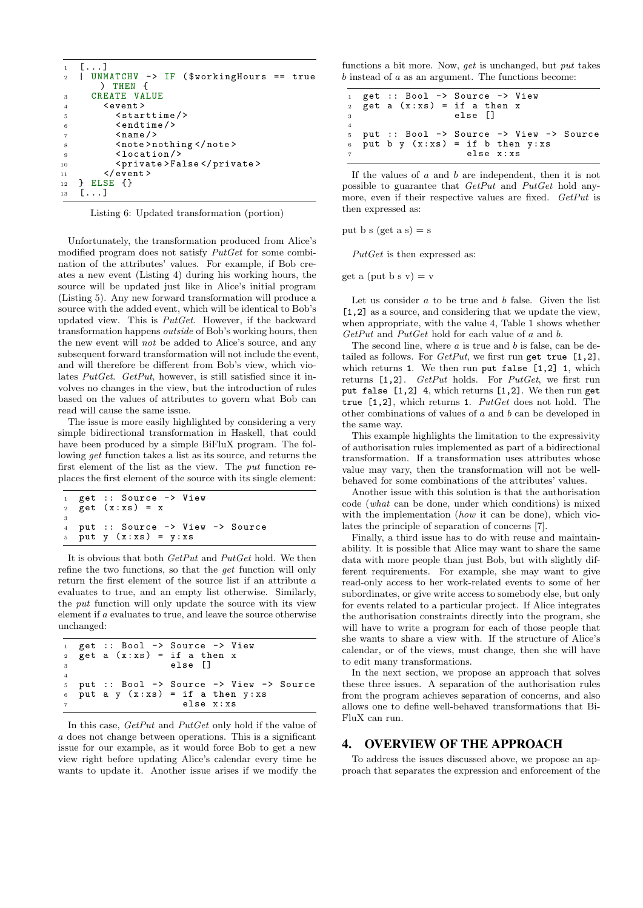```
1 [...]<br>2 | UNM
2 | UNMATCHV -> IF ( $workingHours == true
      ) THEN {
3 CREATE VALUE
4 < event >
5 < starttime / >
6 <endtime />
7 < name / >
8 <note>nothing </note>
9 <location/>
10 <private>False</private>
11 </event>
\begin{array}{c} 12 \\ 13 \end{array} [...]
   [.\,.]
```
Listing 6: Updated transformation (portion)

Unfortunately, the transformation produced from Alice's modified program does not satisfy  $PutGet$  for some combination of the attributes' values. For example, if Bob creates a new event (Listing 4) during his working hours, the source will be updated just like in Alice's initial program (Listing 5). Any new forward transformation will produce a source with the added event, which will be identical to Bob's updated view. This is PutGet. However, if the backward transformation happens outside of Bob's working hours, then the new event will not be added to Alice's source, and any subsequent forward transformation will not include the event, and will therefore be different from Bob's view, which violates PutGet. GetPut, however, is still satisfied since it involves no changes in the view, but the introduction of rules based on the values of attributes to govern what Bob can read will cause the same issue.

The issue is more easily highlighted by considering a very simple bidirectional transformation in Haskell, that could have been produced by a simple BiFluX program. The following get function takes a list as its source, and returns the first element of the list as the view. The put function replaces the first element of the source with its single element:

```
get :: Source -> View
  get(x:xs) = x3
4 put :: Source -> View -> Source
5 put y (x:xs) = y:xs
```
It is obvious that both GetPut and PutGet hold. We then refine the two functions, so that the get function will only return the first element of the source list if an attribute a evaluates to true, and an empty list otherwise. Similarly, the put function will only update the source with its view element if a evaluates to true, and leave the source otherwise unchanged:

```
1 get :: Bool \rightarrow Source \rightarrow View<br>2 get a (x:xs) = if a then x
2 get a (x:xs) = ielse []
4
5 put :: Bool -> Source -> View -> Source
6 put a y (x:xs) = if a then y:xs
                           else x:xs
```
In this case, GetPut and PutGet only hold if the value of a does not change between operations. This is a significant issue for our example, as it would force Bob to get a new view right before updating Alice's calendar every time he wants to update it. Another issue arises if we modify the

functions a bit more. Now, get is unchanged, but put takes  $b$  instead of  $a$  as an argument. The functions become:

```
1 get :: Bool -> Source -> View<br>2 get a (x:xs) = if a then x
   get a (x : xs) = if a then x3 else []
4
5 put :: Bool -> Source -> View -> Source<br>6 put b y (x:xs) = if b then y:xs6 put b y (x:xs) = if b then y:xs
                          else x:xs
```
If the values of  $a$  and  $b$  are independent, then it is not possible to guarantee that GetPut and PutGet hold anymore, even if their respective values are fixed. GetPut is then expressed as:

put b s (get a s) = s

 $PutGet$  is then expressed as:

get a (put b s  $v$ ) = v

Let us consider  $a$  to be true and  $b$  false. Given the list [1,2] as a source, and considering that we update the view, when appropriate, with the value 4, Table 1 shows whether GetPut and PutGet hold for each value of a and b.

The second line, where  $a$  is true and  $b$  is false, can be detailed as follows. For  $GetPut$ , we first run get true  $[1,2]$ , which returns 1. We then run put false [1,2] 1, which returns [1,2]. GetPut holds. For PutGet, we first run put false [1,2] 4, which returns [1,2]. We then run get true  $[1,2]$ , which returns 1.  $PutGet$  does not hold. The other combinations of values of a and b can be developed in the same way.

This example highlights the limitation to the expressivity of authorisation rules implemented as part of a bidirectional transformation. If a transformation uses attributes whose value may vary, then the transformation will not be wellbehaved for some combinations of the attributes' values.

Another issue with this solution is that the authorisation code (what can be done, under which conditions) is mixed with the implementation (how it can be done), which violates the principle of separation of concerns [7].

Finally, a third issue has to do with reuse and maintainability. It is possible that Alice may want to share the same data with more people than just Bob, but with slightly different requirements. For example, she may want to give read-only access to her work-related events to some of her subordinates, or give write access to somebody else, but only for events related to a particular project. If Alice integrates the authorisation constraints directly into the program, she will have to write a program for each of those people that she wants to share a view with. If the structure of Alice's calendar, or of the views, must change, then she will have to edit many transformations.

In the next section, we propose an approach that solves these three issues. A separation of the authorisation rules from the program achieves separation of concerns, and also allows one to define well-behaved transformations that Bi-FluX can run.

### 4. OVERVIEW OF THE APPROACH

To address the issues discussed above, we propose an approach that separates the expression and enforcement of the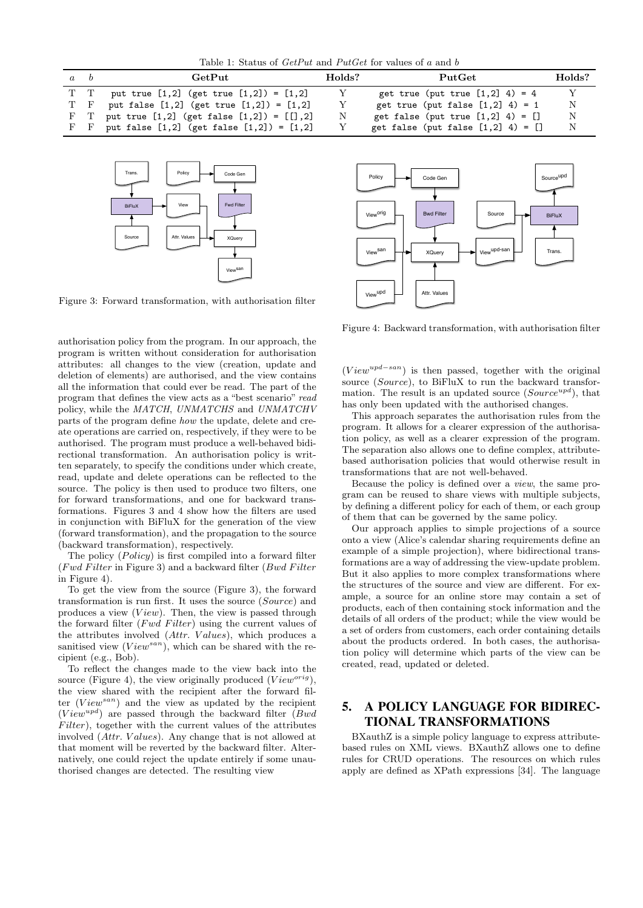Table 1: Status of  $GetPut$  and  $PutGet$  for values of a and b

| $a \quad b$ | GetPut                                               | Holds? | PutGet                                 | Holds? |
|-------------|------------------------------------------------------|--------|----------------------------------------|--------|
|             | T T put true $[1,2]$ (get true $[1,2]$ ) = $[1,2]$   |        | get true (put true $[1,2]$ 4) = 4      | Y      |
|             | T F put false $[1,2]$ (get true $[1,2]$ ) = $[1,2]$  |        | get true (put false $[1,2]$ 4) = 1     | N      |
|             | F T put true $[1,2]$ (get false $[1,2]$ ) = $[1,2]$  | N      | get false (put true $[1,2]$ 4) = $[]$  | N      |
|             | F F put false $[1,2]$ (get false $[1,2]$ ) = $[1,2]$ |        | get false (put false $[1,2]$ 4) = $[]$ | N      |



Figure 3: Forward transformation, with authorisation filter

authorisation policy from the program. In our approach, the program is written without consideration for authorisation attributes: all changes to the view (creation, update and deletion of elements) are authorised, and the view contains all the information that could ever be read. The part of the program that defines the view acts as a "best scenario" read policy, while the MATCH, UNMATCHS and UNMATCHV parts of the program define how the update, delete and create operations are carried on, respectively, if they were to be authorised. The program must produce a well-behaved bidirectional transformation. An authorisation policy is written separately, to specify the conditions under which create, read, update and delete operations can be reflected to the source. The policy is then used to produce two filters, one for forward transformations, and one for backward transformations. Figures 3 and 4 show how the filters are used in conjunction with BiFluX for the generation of the view (forward transformation), and the propagation to the source (backward transformation), respectively.

The policy  $(Policy)$  is first compiled into a forward filter (Fwd Filter in Figure 3) and a backward filter ( $Bwd$  Filter in Figure 4).

To get the view from the source (Figure 3), the forward transformation is run first. It uses the source (Source) and produces a view  $(View)$ . Then, the view is passed through the forward filter  $(Fwd\ Filter)$  using the current values of the attributes involved (Attr. Values), which produces a sanitised view  $(V iew^{san})$ , which can be shared with the recipient (e.g., Bob).

To reflect the changes made to the view back into the source (Figure 4), the view originally produced ( $View^{orig}$ ), the view shared with the recipient after the forward filter  $(V iew^{san})$  and the view as updated by the recipient  $(V i e w^{u p d})$  are passed through the backward filter (*Bwd*  $Filter$ ), together with the current values of the attributes involved (Attr. Values). Any change that is not allowed at that moment will be reverted by the backward filter. Alternatively, one could reject the update entirely if some unauthorised changes are detected. The resulting view



Figure 4: Backward transformation, with authorisation filter

 $(V ieu^{upd-san})$  is then passed, together with the original source (Source), to BiFluX to run the backward transformation. The result is an updated source  $(Source^{upd})$ , that has only been updated with the authorised changes.

This approach separates the authorisation rules from the program. It allows for a clearer expression of the authorisation policy, as well as a clearer expression of the program. The separation also allows one to define complex, attributebased authorisation policies that would otherwise result in transformations that are not well-behaved.

Because the policy is defined over a view, the same program can be reused to share views with multiple subjects, by defining a different policy for each of them, or each group of them that can be governed by the same policy.

Our approach applies to simple projections of a source onto a view (Alice's calendar sharing requirements define an example of a simple projection), where bidirectional transformations are a way of addressing the view-update problem. But it also applies to more complex transformations where the structures of the source and view are different. For example, a source for an online store may contain a set of products, each of then containing stock information and the details of all orders of the product; while the view would be a set of orders from customers, each order containing details about the products ordered. In both cases, the authorisation policy will determine which parts of the view can be created, read, updated or deleted.

# 5. A POLICY LANGUAGE FOR BIDIREC-TIONAL TRANSFORMATIONS

BXauthZ is a simple policy language to express attributebased rules on XML views. BXauthZ allows one to define rules for CRUD operations. The resources on which rules apply are defined as XPath expressions [34]. The language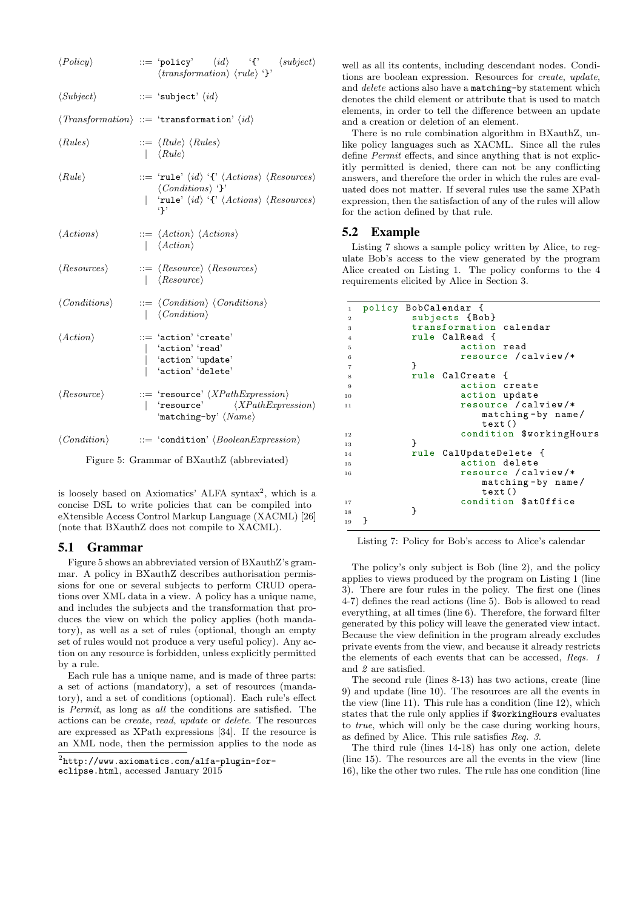| $\langle Policy\rangle$      | $ ::= 'policy' \quad \langle id \rangle \quad '{\text{'} \quad \langle subject \rangle}$<br>$\langle transformation \rangle \langle rule \rangle$ '}'                                                                                      |
|------------------------------|--------------------------------------------------------------------------------------------------------------------------------------------------------------------------------------------------------------------------------------------|
| $\langle Subject\rangle$     | $ ::= \ \texttt{`subject'} \ \langle \textit{id} \rangle$                                                                                                                                                                                  |
|                              | $\langle \textit{Transformation} \rangle ::= \text{ 'transformation' } \langle \textit{id} \rangle$                                                                                                                                        |
| $\langle Rules \rangle$      | $ ::= \langle Rule \rangle \langle Rules \rangle$<br>$\vert \langle Rule \rangle$                                                                                                                                                          |
| $\langle Rule \rangle$       | ::= 'rule' $\langle id \rangle$ '{' $\langle Actions \rangle$ $\langle Resources \rangle$<br>$\langle Conditions \rangle$ '}'<br>  'rule' $\langle id \rangle$ '{' $\langle Actions \rangle$ $\langle Resources \rangle$<br>$\mathfrak{g}$ |
| $\langle Actions \rangle$    | $ ::= \langle Action \rangle \langle Actions \rangle$<br>$\vert$ $\langle Action \rangle$                                                                                                                                                  |
| $\langle Resources \rangle$  | $ ::= \langle Resource \rangle \langle Resources \rangle$<br>  $\langle Resource \rangle$                                                                                                                                                  |
| $\langle Conditions \rangle$ | $ ::= \langle Condition \rangle \langle Conditions \rangle$<br>$ \langle Condition \rangle$                                                                                                                                                |
| $\langle Action \rangle$     | ::= 'action' 'create'<br>'action' 'read'<br>$\vert$ 'action' 'update'<br>'action' 'delete'                                                                                                                                                 |
| $\langle Resource \rangle$   | $::= \texttt{ 'resource'} \textit{ } \langle \textit{XPathExpression} \rangle$<br>  'resource' $\langle XPathExpression \rangle$<br>'matching-by' $\langle Name \rangle$                                                                   |
|                              | $\langle Condition \rangle$ ::= 'condition' $\langle BooleanExpression \rangle$                                                                                                                                                            |
|                              | Figure 5: Grammar of BXauthZ (abbreviated)                                                                                                                                                                                                 |

is loosely based on Axiomatics' ALFA syntax<sup>2</sup>, which is a concise DSL to write policies that can be compiled into eXtensible Access Control Markup Language (XACML) [26] (note that BXauthZ does not compile to XACML).

#### 5.1 Grammar

Figure 5 shows an abbreviated version of BXauthZ's grammar. A policy in BXauthZ describes authorisation permissions for one or several subjects to perform CRUD operations over XML data in a view. A policy has a unique name, and includes the subjects and the transformation that produces the view on which the policy applies (both mandatory), as well as a set of rules (optional, though an empty set of rules would not produce a very useful policy). Any action on any resource is forbidden, unless explicitly permitted by a rule.

Each rule has a unique name, and is made of three parts: a set of actions (mandatory), a set of resources (mandatory), and a set of conditions (optional). Each rule's effect is Permit, as long as all the conditions are satisfied. The actions can be create, read, update or delete. The resources are expressed as XPath expressions [34]. If the resource is an XML node, then the permission applies to the node as

well as all its contents, including descendant nodes. Conditions are boolean expression. Resources for create, update, and delete actions also have a matching-by statement which denotes the child element or attribute that is used to match elements, in order to tell the difference between an update and a creation or deletion of an element.

There is no rule combination algorithm in BXauthZ, unlike policy languages such as XACML. Since all the rules define Permit effects, and since anything that is not explicitly permitted is denied, there can not be any conflicting answers, and therefore the order in which the rules are evaluated does not matter. If several rules use the same XPath expression, then the satisfaction of any of the rules will allow for the action defined by that rule.

### 5.2 Example

Listing 7 shows a sample policy written by Alice, to regulate Bob's access to the view generated by the program Alice created on Listing 1. The policy conforms to the 4 requirements elicited by Alice in Section 3.

```
1 policy BobCalendar {
2 subjects {Bob}
3 transformation calendar
4 rule CalRead {
5 action read
6 resource / calview /*
7 }
8 rule CalCreate {
9 action create
10 action update<br>11 11 action versus resource / cal
               resource / calview/*
                 matching-by name/
                  text ()
12 condition $workingHours<br>13 13
13 }
14 rule CalUpdateDelete {
15 action delete
16 resource / calview /*
                  matching - by name /
                  text ()
17 condition $atOffice<br>18 19
18 }
19 }
```
Listing 7: Policy for Bob's access to Alice's calendar

The policy's only subject is Bob (line 2), and the policy applies to views produced by the program on Listing 1 (line 3). There are four rules in the policy. The first one (lines 4-7) defines the read actions (line 5). Bob is allowed to read everything, at all times (line 6). Therefore, the forward filter generated by this policy will leave the generated view intact. Because the view definition in the program already excludes private events from the view, and because it already restricts the elements of each events that can be accessed, Reqs. 1 and 2 are satisfied.

The second rule (lines 8-13) has two actions, create (line 9) and update (line 10). The resources are all the events in the view (line 11). This rule has a condition (line 12), which states that the rule only applies if \$workingHours evaluates to true, which will only be the case during working hours, as defined by Alice. This rule satisfies Req. 3.

The third rule (lines 14-18) has only one action, delete (line 15). The resources are all the events in the view (line 16), like the other two rules. The rule has one condition (line

 $^{2}$ http://www.axiomatics.com/alfa-plugin-for-

eclipse.html, accessed January 2015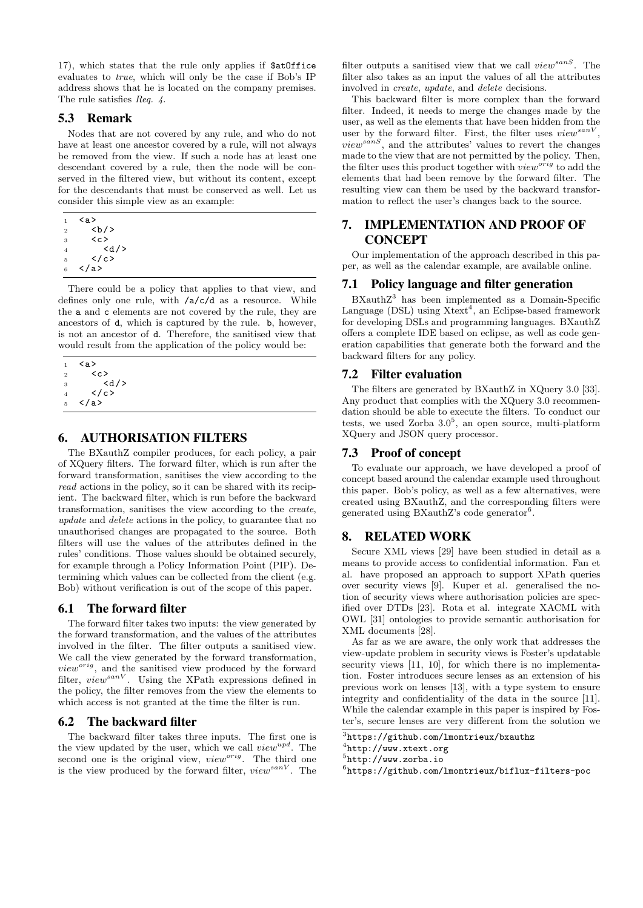17), which states that the rule only applies if \$atOffice evaluates to true, which will only be the case if Bob's IP address shows that he is located on the company premises. The rule satisfies Req. 4.

### 5.3 Remark

Nodes that are not covered by any rule, and who do not have at least one ancestor covered by a rule, will not always be removed from the view. If such a node has at least one descendant covered by a rule, then the node will be conserved in the filtered view, but without its content, except for the descendants that must be conserved as well. Let us consider this simple view as an example:

| 1              | <a></a>   |
|----------------|-----------|
| $\overline{2}$ | <b></b>   |
| 3              | くぃ>       |
| 4              | $<$ d $/$ |
| 5              |           |
| 6              |           |

There could be a policy that applies to that view, and defines only one rule, with /a/c/d as a resource. While the a and c elements are not covered by the rule, they are ancestors of d, which is captured by the rule. b, however, is not an ancestor of d. Therefore, the sanitised view that would result from the application of the policy would be:

| 1 | <a></a> |
|---|---------|
| 2 | くこ>     |
| 3 | <d></d> |
| 4 |         |
| 5 |         |

#### 6. AUTHORISATION FILTERS

The BXauthZ compiler produces, for each policy, a pair of XQuery filters. The forward filter, which is run after the forward transformation, sanitises the view according to the read actions in the policy, so it can be shared with its recipient. The backward filter, which is run before the backward transformation, sanitises the view according to the create, update and delete actions in the policy, to guarantee that no unauthorised changes are propagated to the source. Both filters will use the values of the attributes defined in the rules' conditions. Those values should be obtained securely, for example through a Policy Information Point (PIP). Determining which values can be collected from the client (e.g. Bob) without verification is out of the scope of this paper.

#### 6.1 The forward filter

The forward filter takes two inputs: the view generated by the forward transformation, and the values of the attributes involved in the filter. The filter outputs a sanitised view. We call the view generated by the forward transformation,  $view^{orig}$ , and the sanitised view produced by the forward filter,  $view^{sanV}$ . Using the XPath expressions defined in the policy, the filter removes from the view the elements to which access is not granted at the time the filter is run.

#### 6.2 The backward filter

The backward filter takes three inputs. The first one is the view updated by the user, which we call  $view^{upd}$ . The second one is the original view,  $view^{orig}$ . The third one is the view produced by the forward filter,  $view^{sanV}$ . The

filter outputs a sanitised view that we call  $view^{sanS}$ . The filter also takes as an input the values of all the attributes involved in create, update, and delete decisions.

This backward filter is more complex than the forward filter. Indeed, it needs to merge the changes made by the user, as well as the elements that have been hidden from the user by the forward filter. First, the filter uses  $view^{sanV}$ ,  $view^{sans}$ , and the attributes' values to revert the changes made to the view that are not permitted by the policy. Then, the filter uses this product together with  $view^{orig}$  to add the elements that had been remove by the forward filter. The resulting view can them be used by the backward transformation to reflect the user's changes back to the source.

# 7. IMPLEMENTATION AND PROOF OF **CONCEPT**

Our implementation of the approach described in this paper, as well as the calendar example, are available online.

### 7.1 Policy language and filter generation

BXauthZ<sup>3</sup> has been implemented as a Domain-Specific Language  $(DSL)$  using  $Xtext^4$ , an Eclipse-based framework for developing DSLs and programming languages. BXauthZ offers a complete IDE based on eclipse, as well as code generation capabilities that generate both the forward and the backward filters for any policy.

#### 7.2 Filter evaluation

The filters are generated by BXauthZ in XQuery 3.0 [33]. Any product that complies with the XQuery 3.0 recommendation should be able to execute the filters. To conduct our tests, we used Zorba  $3.0^5$ , an open source, multi-platform XQuery and JSON query processor.

### 7.3 Proof of concept

To evaluate our approach, we have developed a proof of concept based around the calendar example used throughout this paper. Bob's policy, as well as a few alternatives, were created using BXauthZ, and the corresponding filters were generated using BXauthZ's code generator<sup>6</sup>.

### 8. RELATED WORK

Secure XML views [29] have been studied in detail as a means to provide access to confidential information. Fan et al. have proposed an approach to support XPath queries over security views [9]. Kuper et al. generalised the notion of security views where authorisation policies are specified over DTDs [23]. Rota et al. integrate XACML with OWL [31] ontologies to provide semantic authorisation for XML documents [28].

As far as we are aware, the only work that addresses the view-update problem in security views is Foster's updatable security views [11, 10], for which there is no implementation. Foster introduces secure lenses as an extension of his previous work on lenses [13], with a type system to ensure integrity and confidentiality of the data in the source [11]. While the calendar example in this paper is inspired by Foster's, secure lenses are very different from the solution we

<sup>3</sup> https://github.com/lmontrieux/bxauthz

<sup>4</sup> http://www.xtext.org

<sup>5</sup> http://www.zorba.io

<sup>6</sup> https://github.com/lmontrieux/biflux-filters-poc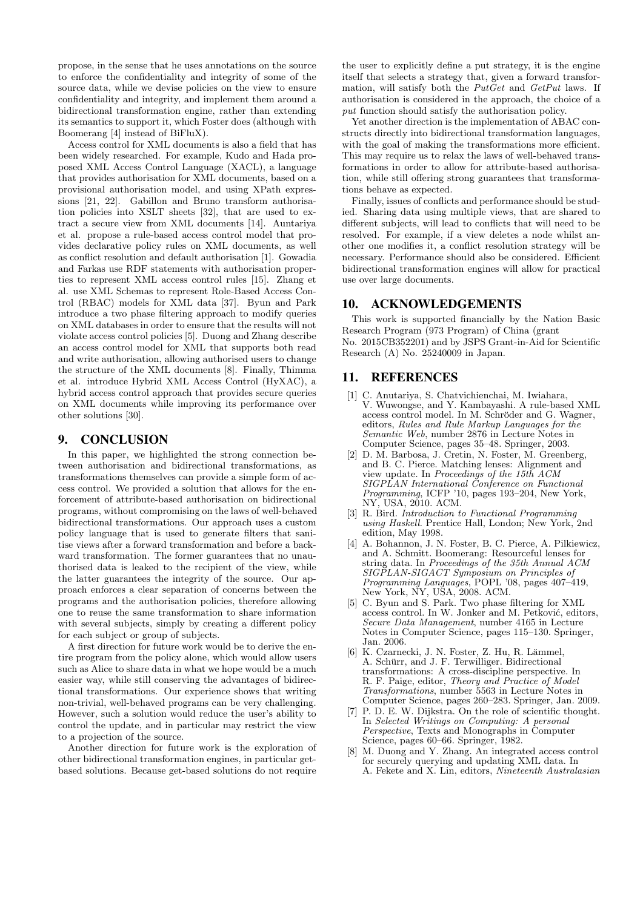propose, in the sense that he uses annotations on the source to enforce the confidentiality and integrity of some of the source data, while we devise policies on the view to ensure confidentiality and integrity, and implement them around a bidirectional transformation engine, rather than extending its semantics to support it, which Foster does (although with Boomerang [4] instead of BiFluX).

Access control for XML documents is also a field that has been widely researched. For example, Kudo and Hada proposed XML Access Control Language (XACL), a language that provides authorisation for XML documents, based on a provisional authorisation model, and using XPath expressions [21, 22]. Gabillon and Bruno transform authorisation policies into XSLT sheets [32], that are used to extract a secure view from XML documents [14]. Auntariya et al. propose a rule-based access control model that provides declarative policy rules on XML documents, as well as conflict resolution and default authorisation [1]. Gowadia and Farkas use RDF statements with authorisation properties to represent XML access control rules [15]. Zhang et al. use XML Schemas to represent Role-Based Access Control (RBAC) models for XML data [37]. Byun and Park introduce a two phase filtering approach to modify queries on XML databases in order to ensure that the results will not violate access control policies [5]. Duong and Zhang describe an access control model for XML that supports both read and write authorisation, allowing authorised users to change the structure of the XML documents [8]. Finally, Thimma et al. introduce Hybrid XML Access Control (HyXAC), a hybrid access control approach that provides secure queries on XML documents while improving its performance over other solutions [30].

#### 9. CONCLUSION

In this paper, we highlighted the strong connection between authorisation and bidirectional transformations, as transformations themselves can provide a simple form of access control. We provided a solution that allows for the enforcement of attribute-based authorisation on bidirectional programs, without compromising on the laws of well-behaved bidirectional transformations. Our approach uses a custom policy language that is used to generate filters that sanitise views after a forward transformation and before a backward transformation. The former guarantees that no unauthorised data is leaked to the recipient of the view, while the latter guarantees the integrity of the source. Our approach enforces a clear separation of concerns between the programs and the authorisation policies, therefore allowing one to reuse the same transformation to share information with several subjects, simply by creating a different policy for each subject or group of subjects.

A first direction for future work would be to derive the entire program from the policy alone, which would allow users such as Alice to share data in what we hope would be a much easier way, while still conserving the advantages of bidirectional transformations. Our experience shows that writing non-trivial, well-behaved programs can be very challenging. However, such a solution would reduce the user's ability to control the update, and in particular may restrict the view to a projection of the source.

Another direction for future work is the exploration of other bidirectional transformation engines, in particular getbased solutions. Because get-based solutions do not require

the user to explicitly define a put strategy, it is the engine itself that selects a strategy that, given a forward transformation, will satisfy both the PutGet and GetPut laws. If authorisation is considered in the approach, the choice of a put function should satisfy the authorisation policy.

Yet another direction is the implementation of ABAC constructs directly into bidirectional transformation languages, with the goal of making the transformations more efficient. This may require us to relax the laws of well-behaved transformations in order to allow for attribute-based authorisation, while still offering strong guarantees that transformations behave as expected.

Finally, issues of conflicts and performance should be studied. Sharing data using multiple views, that are shared to different subjects, will lead to conflicts that will need to be resolved. For example, if a view deletes a node whilst another one modifies it, a conflict resolution strategy will be necessary. Performance should also be considered. Efficient bidirectional transformation engines will allow for practical use over large documents.

#### 10. ACKNOWLEDGEMENTS

This work is supported financially by the Nation Basic Research Program (973 Program) of China (grant No. 2015CB352201) and by JSPS Grant-in-Aid for Scientific Research (A) No. 25240009 in Japan.

#### 11. REFERENCES

- [1] C. Anutariya, S. Chatvichienchai, M. Iwiahara, V. Wuwongse, and Y. Kambayashi. A rule-based XML access control model. In M. Schröder and G. Wagner, editors, Rules and Rule Markup Languages for the Semantic Web, number 2876 in Lecture Notes in Computer Science, pages 35–48. Springer, 2003.
- [2] D. M. Barbosa, J. Cretin, N. Foster, M. Greenberg, and B. C. Pierce. Matching lenses: Alignment and view update. In Proceedings of the 15th ACM SIGPLAN International Conference on Functional Programming, ICFP '10, pages 193–204, New York, NY, USA, 2010. ACM.
- [3] R. Bird. Introduction to Functional Programming using Haskell. Prentice Hall, London; New York, 2nd edition, May 1998.
- [4] A. Bohannon, J. N. Foster, B. C. Pierce, A. Pilkiewicz, and A. Schmitt. Boomerang: Resourceful lenses for string data. In Proceedings of the 35th Annual ACM SIGPLAN-SIGACT Symposium on Principles of Programming Languages, POPL '08, pages 407–419, New York, NY, USA, 2008. ACM.
- [5] C. Byun and S. Park. Two phase filtering for XML access control. In W. Jonker and M. Petković, editors, Secure Data Management, number 4165 in Lecture Notes in Computer Science, pages 115–130. Springer, Jan. 2006.
- [6] K. Czarnecki, J. N. Foster, Z. Hu, R. Lämmel, A. Schürr, and J. F. Terwilliger. Bidirectional transformations: A cross-discipline perspective. In R. F. Paige, editor, Theory and Practice of Model Transformations, number 5563 in Lecture Notes in Computer Science, pages 260–283. Springer, Jan. 2009.
- [7] P. D. E. W. Dijkstra. On the role of scientific thought. In Selected Writings on Computing: A personal Perspective, Texts and Monographs in Computer Science, pages 60–66. Springer, 1982.
- [8] M. Duong and Y. Zhang. An integrated access control for securely querying and updating XML data. In A. Fekete and X. Lin, editors, Nineteenth Australasian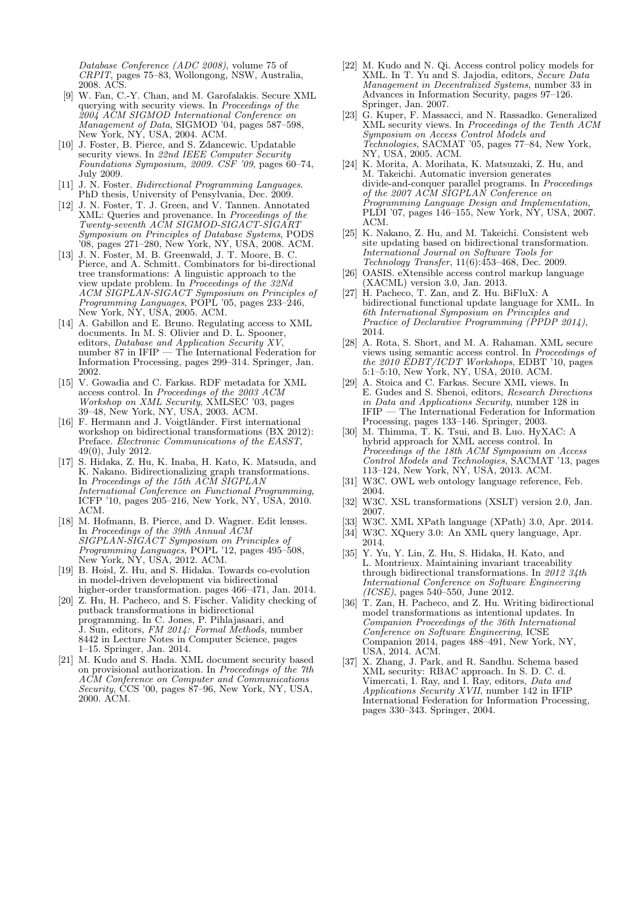Database Conference (ADC 2008), volume 75 of CRPIT, pages 75–83, Wollongong, NSW, Australia, 2008. ACS.

- [9] W. Fan, C.-Y. Chan, and M. Garofalakis. Secure XML querying with security views. In Proceedings of the 2004 ACM SIGMOD International Conference on Management of Data, SIGMOD '04, pages 587–598, New York, NY, USA, 2004. ACM.
- [10] J. Foster, B. Pierce, and S. Zdancewic. Updatable security views. In 22nd IEEE Computer Security Foundations Symposium, 2009. CSF '09, pages 60–74, July 2009.
- [11] J. N. Foster. Bidirectional Programming Languages. PhD thesis, University of Pensylvania, Dec. 2009.
- [12] J. N. Foster, T. J. Green, and V. Tannen. Annotated XML: Queries and provenance. In Proceedings of the Twenty-seventh ACM SIGMOD-SIGACT-SIGART Symposium on Principles of Database Systems, PODS '08, pages 271–280, New York, NY, USA, 2008. ACM.
- [13] J. N. Foster, M. B. Greenwald, J. T. Moore, B. C. Pierce, and A. Schmitt. Combinators for bi-directional tree transformations: A linguistic approach to the view update problem. In Proceedings of the 32Nd ACM SIGPLAN-SIGACT Symposium on Principles of Programming Languages, POPL '05, pages 233–246, New York, NY, USA, 2005. ACM.
- [14] A. Gabillon and E. Bruno. Regulating access to XML documents. In M. S. Olivier and D. L. Spooner, editors, Database and Application Security XV, number 87 in IFIP — The International Federation for Information Processing, pages 299–314. Springer, Jan. 2002.
- [15] V. Gowadia and C. Farkas. RDF metadata for XML access control. In Proceedings of the 2003 ACM Workshop on XML Security, XMLSEC '03, pages 39–48, New York, NY, USA, 2003. ACM.
- [16] F. Hermann and J. Voigtländer. First international workshop on bidirectional transformations (BX 2012): Preface. Electronic Communications of the EASST, 49(0), July 2012.
- [17] S. Hidaka, Z. Hu, K. Inaba, H. Kato, K. Matsuda, and K. Nakano. Bidirectionalizing graph transformations. In Proceedings of the 15th ACM SIGPLAN International Conference on Functional Programming, ICFP '10, pages 205–216, New York, NY, USA, 2010. ACM.
- [18] M. Hofmann, B. Pierce, and D. Wagner. Edit lenses. In Proceedings of the 39th Annual ACM SIGPLAN-SIGACT Symposium on Principles of Programming Languages, POPL '12, pages 495–508, New York, NY, USA, 2012. ACM.
- [19] B. Hoisl, Z. Hu, and S. Hidaka. Towards co-evolution in model-driven development via bidirectional higher-order transformation. pages 466–471, Jan. 2014.
- [20] Z. Hu, H. Pacheco, and S. Fischer. Validity checking of putback transformations in bidirectional programming. In C. Jones, P. Pihlajasaari, and J. Sun, editors, FM 2014: Formal Methods, number 8442 in Lecture Notes in Computer Science, pages 1–15. Springer, Jan. 2014.
- [21] M. Kudo and S. Hada. XML document security based on provisional authorization. In Proceedings of the 7th ACM Conference on Computer and Communications Security, ČCS '00, pages  $\hat{87}$ –96, New York, NY, USA, 2000. ACM.
- [22] M. Kudo and N. Qi. Access control policy models for XML. In T. Yu and S. Jajodia, editors, Secure Data Management in Decentralized Systems, number 33 in Advances in Information Security, pages 97–126. Springer, Jan. 2007.
- [23] G. Kuper, F. Massacci, and N. Rassadko. Generalized XML security views. In Proceedings of the Tenth ACM Symposium on Access Control Models and Technologies, SACMAT '05, pages 77–84, New York, NY, USA, 2005. ACM.
- [24] K. Morita, A. Morihata, K. Matsuzaki, Z. Hu, and M. Takeichi. Automatic inversion generates divide-and-conquer parallel programs. In Proceedings of the 2007 ACM SIGPLAN Conference on Programming Language Design and Implementation, PLDI '07, pages 146–155, New York, NY, USA, 2007. ACM.
- [25] K. Nakano, Z. Hu, and M. Takeichi. Consistent web site updating based on bidirectional transformation. International Journal on Software Tools for Technology Transfer, 11(6):453–468, Dec. 2009.
- [26] OASIS. eXtensible access control markup language (XACML) version 3.0, Jan. 2013.
- [27] H. Pacheco, T. Zan, and Z. Hu. BiFluX: A bidirectional functional update language for XML. In 6th International Symposium on Principles and Practice of Declarative Programming (PPDP 2014), 2014.
- [28] A. Rota, S. Short, and M. A. Rahaman. XML secure views using semantic access control. In Proceedings of the 2010 EDBT/ICDT Workshops, EDBT '10, pages 5:1–5:10, New York, NY, USA, 2010. ACM.
- [29] A. Stoica and C. Farkas. Secure XML views. In E. Gudes and S. Shenoi, editors, Research Directions in Data and Applications Security, number 128 in IFIP — The International Federation for Information Processing, pages 133–146. Springer, 2003.
- [30] M. Thimma, T. K. Tsui, and B. Luo. HyXAC: A hybrid approach for XML access control. In Proceedings of the 18th ACM Symposium on Access Control Models and Technologies, SACMAT '13, pages 113–124, New York, NY, USA, 2013. ACM.
- [31] W3C. OWL web ontology language reference, Feb. 2004.
- [32] W3C. XSL transformations (XSLT) version 2.0, Jan. 2007.
- [33] W3C. XML XPath language (XPath) 3.0, Apr. 2014.
- [34] W3C. XQuery 3.0: An XML query language, Apr. 2014.
- [35] Y. Yu, Y. Lin, Z. Hu, S. Hidaka, H. Kato, and L. Montrieux. Maintaining invariant traceability through bidirectional transformations. In 2012  $34$ th International Conference on Software Engineering  $(ICSE)$ , pages 540–550, June 2012.
- [36] T. Zan, H. Pacheco, and Z. Hu. Writing bidirectional model transformations as intentional updates. In Companion Proceedings of the 36th International Conference on Software Engineering, ICSE Companion 2014, pages 488–491, New York, NY, USA, 2014. ACM.
- [37] X. Zhang, J. Park, and R. Sandhu. Schema based XML security: RBAC approach. In S. D. C. d. Vimercati, I. Ray, and I. Ray, editors, *Data and* Applications Security XVII, number 142 in IFIP International Federation for Information Processing, pages 330–343. Springer, 2004.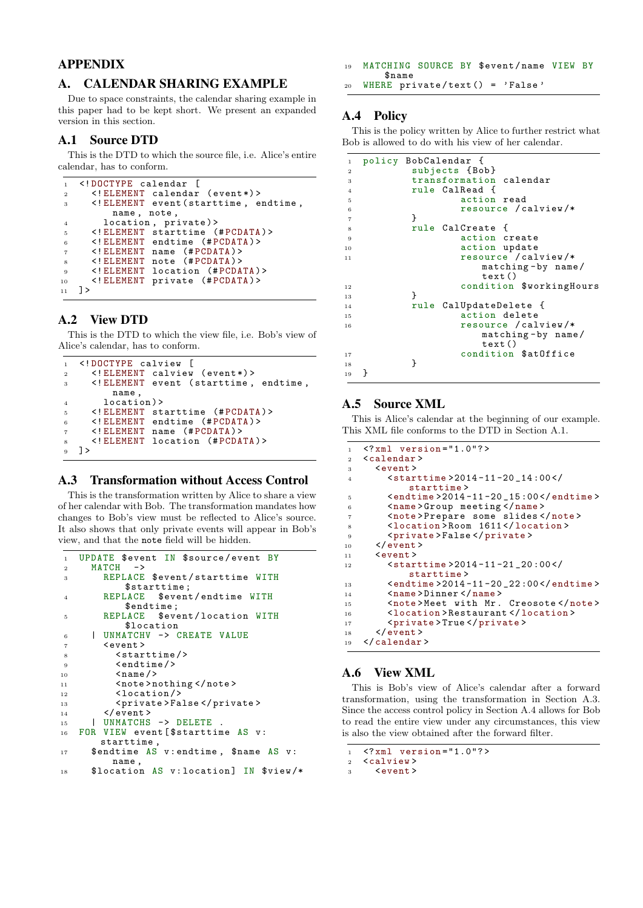# APPENDIX

# A. CALENDAR SHARING EXAMPLE

Due to space constraints, the calendar sharing example in this paper had to be kept short. We present an expanded version in this section.

# A.1 Source DTD

This is the DTD to which the source file, i.e. Alice's entire calendar, has to conform.

```
1 <! DOCTYPE calendar [
2 <! ELEMENT calendar ( event *) >
3 <! ELEMENT event ( starttime , endtime ,
        name , note ,
4 location, private)>
5 <! ELEMENT starttime (# PCDATA ) >
6 <! ELEMENT endtime (# PCDATA ) >
7 <! ELEMENT name (# PCDATA ) >
8 <! ELEMENT note (# PCDATA ) >
9 <!ELEMENT location (#PCDATA)>
10 <! ELEMENT private (#PCDATA) >
11 \quad 3
```
# A.2 View DTD

This is the DTD to which the view file, i.e. Bob's view of Alice's calendar, has to conform.

```
1 <! DOCTYPE calview [
2 <! ELEMENT calview (event*)>
3 <! ELEMENT event ( starttime , endtime ,
        name ,
4 location ) >
5 <! ELEMENT starttime (# PCDATA ) >
6 <!ELEMENT endtime (#PCDATA)>
     7 <! ELEMENT name (# PCDATA ) >
8 <! ELEMENT location (#PCDATA)>
9 ]>
```
# A.3 Transformation without Access Control

This is the transformation written by Alice to share a view of her calendar with Bob. The transformation mandates how changes to Bob's view must be reflected to Alice's source. It also shows that only private events will appear in Bob's view, and that the note field will be hidden.

```
1 UPDATE $event IN $source/event BY
2 MATCH \rightarrow3 REPLACE $event/starttime WITH
       $starttime;<br>REPLACE $event
4 REPLACE $event/endtime WITH
           $endtime ;
5 REPLACE $event/location WITH
           $location
6 | UNMATCHV -> CREATE VALUE
7 < event >
8 < starttime /><br>2 < starttime />
          \langleendtime/\rangle10 < name />
11 < note > n
          <note>nothing </note>
12 <location/>
13 < private > False </ private >
14 </event><br>15 | UNMATCHS
       UNMATCHS -> DELETE
16 FOR VIEW event [$starttime AS v:
       starttime ,
17 $endtime AS v: endtime, $name AS v:
         name ,
18 $location AS v: location] IN $view/*
```
19 MATCHING SOURCE BY \$event/name VIEW BY \$name

 $20$  WHERE private/text() = 'False'

# A.4 Policy

This is the policy written by Alice to further restrict what Bob is allowed to do with his view of her calendar.

```
1 policy BobCalendar {
2 subjects {Bob}<br>3 transformation
         transformation calendar
4 rule CalRead {
               action read
6 resource / calview /*
7 }
8 rule CalCreate {
9 action create<br>10 action update
               action update
11 resource / calview /*
                  matching - by name /
                  text ()
12 condition $workingHours<br>13 13
13 }
14 rule CalUpdateDelete {
15 action delete
16 resource / calview /*
                  matching - by name /
                  text ()
17 condition $atOffice
18 }
19 }
```
# A.5 Source XML

This is Alice's calendar at the beginning of our example. This XML file conforms to the DTD in Section A.1.

```
1 <?xml version ="1.0"? >
2 <calendar >
3 <event><br>4 <star
          4 <starttime >2014 -11 -20 _14 :00 </
               starttime >
5 \leq 4 \leq 2014 - 11 - 20 15 :006 <name>Group meeting </name>
7 < note > Prepare some slides </ note > <<br>
8 < location > Room 1611</ location >
          8 <location > Room 1611 </ location >
9 <private>False</private>
10 \qquad \checkmark / event >
11 \leq \leq \leq \leq \leq \leq \leq \leq \leq \leq \leq \leq \leq \leq \leq \leq \leq \leq \leq \leq \leq \leq \leq \leq \leq \leq \leq \leq \leq \leq \leq \leq \leq \leq \leq \leq 
12 <starttime > 2014-11-21_20:00</
                starttime >
13 <endtime > 2014-11-20_22:00</endtime>
14 <name>Dinner </name>
15 <note>Meet with Mr. Creosote</note>
16 <location > Restaurant </ location >
17 <private > True </ private >
       \langle/event >
19 </ calendar >
```
# A.6 View XML

This is Bob's view of Alice's calendar after a forward transformation, using the transformation in Section A.3. Since the access control policy in Section A.4 allows for Bob to read the entire view under any circumstances, this view is also the view obtained after the forward filter.

```
1 \times ?xml version = "1.0"?>
```

```
2 <calview><br>3 <cevent>
```

```
3 <event >
```